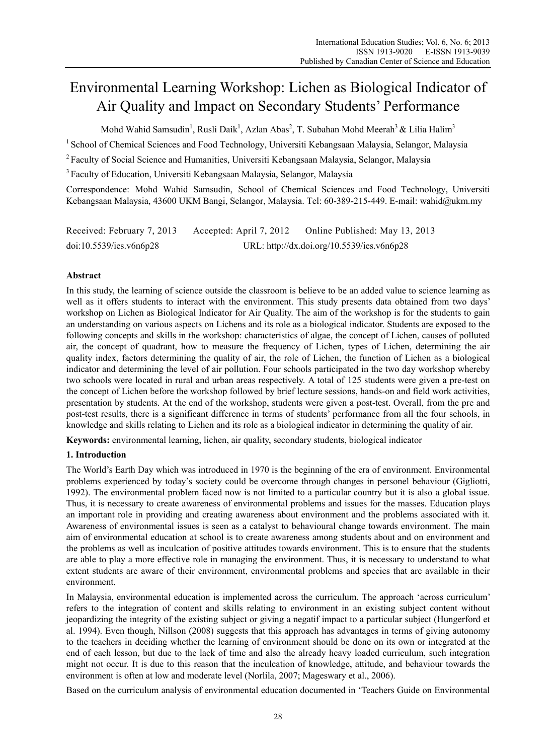# Environmental Learning Workshop: Lichen as Biological Indicator of Air Quality and Impact on Secondary Students' Performance

Mohd Wahid Samsudin<sup>1</sup>, Rusli Daik<sup>1</sup>, Azlan Abas<sup>2</sup>, T. Subahan Mohd Meerah<sup>3</sup> & Lilia Halim<sup>3</sup>

<sup>1</sup> School of Chemical Sciences and Food Technology, Universiti Kebangsaan Malaysia, Selangor, Malaysia

<sup>2</sup> Faculty of Social Science and Humanities, Universiti Kebangsaan Malaysia, Selangor, Malaysia

3 Faculty of Education, Universiti Kebangsaan Malaysia, Selangor, Malaysia

Correspondence: Mohd Wahid Samsudin, School of Chemical Sciences and Food Technology, Universiti Kebangsaan Malaysia, 43600 UKM Bangi, Selangor, Malaysia. Tel: 60-389-215-449. E-mail: wahid@ukm.my

| Received: February 7, 2013 | Accepted: April 7, 2012 | Online Published: May 13, 2013             |
|----------------------------|-------------------------|--------------------------------------------|
| doi:10.5539/ies.v6n6p28    |                         | URL: http://dx.doi.org/10.5539/ies.v6n6p28 |

# **Abstract**

In this study, the learning of science outside the classroom is believe to be an added value to science learning as well as it offers students to interact with the environment. This study presents data obtained from two days' workshop on Lichen as Biological Indicator for Air Quality. The aim of the workshop is for the students to gain an understanding on various aspects on Lichens and its role as a biological indicator. Students are exposed to the following concepts and skills in the workshop: characteristics of algae, the concept of Lichen, causes of polluted air, the concept of quadrant, how to measure the frequency of Lichen, types of Lichen, determining the air quality index, factors determining the quality of air, the role of Lichen, the function of Lichen as a biological indicator and determining the level of air pollution. Four schools participated in the two day workshop whereby two schools were located in rural and urban areas respectively. A total of 125 students were given a pre-test on the concept of Lichen before the workshop followed by brief lecture sessions, hands-on and field work activities, presentation by students. At the end of the workshop, students were given a post-test. Overall, from the pre and post-test results, there is a significant difference in terms of students' performance from all the four schools, in knowledge and skills relating to Lichen and its role as a biological indicator in determining the quality of air.

**Keywords:** environmental learning, lichen, air quality, secondary students, biological indicator

# **1. Introduction**

The World's Earth Day which was introduced in 1970 is the beginning of the era of environment. Environmental problems experienced by today's society could be overcome through changes in personel behaviour (Gigliotti, 1992). The environmental problem faced now is not limited to a particular country but it is also a global issue. Thus, it is necessary to create awareness of environmental problems and issues for the masses. Education plays an important role in providing and creating awareness about environment and the problems associated with it. Awareness of environmental issues is seen as a catalyst to behavioural change towards environment. The main aim of environmental education at school is to create awareness among students about and on environment and the problems as well as inculcation of positive attitudes towards environment. This is to ensure that the students are able to play a more effective role in managing the environment. Thus, it is necessary to understand to what extent students are aware of their environment, environmental problems and species that are available in their environment.

In Malaysia, environmental education is implemented across the curriculum. The approach 'across curriculum' refers to the integration of content and skills relating to environment in an existing subject content without jeopardizing the integrity of the existing subject or giving a negatif impact to a particular subject (Hungerford et al. 1994). Even though, Nillson (2008) suggests that this approach has advantages in terms of giving autonomy to the teachers in deciding whether the learning of environment should be done on its own or integrated at the end of each lesson, but due to the lack of time and also the already heavy loaded curriculum, such integration might not occur. It is due to this reason that the inculcation of knowledge, attitude, and behaviour towards the environment is often at low and moderate level (Norlila, 2007; Mageswary et al., 2006).

Based on the curriculum analysis of environmental education documented in 'Teachers Guide on Environmental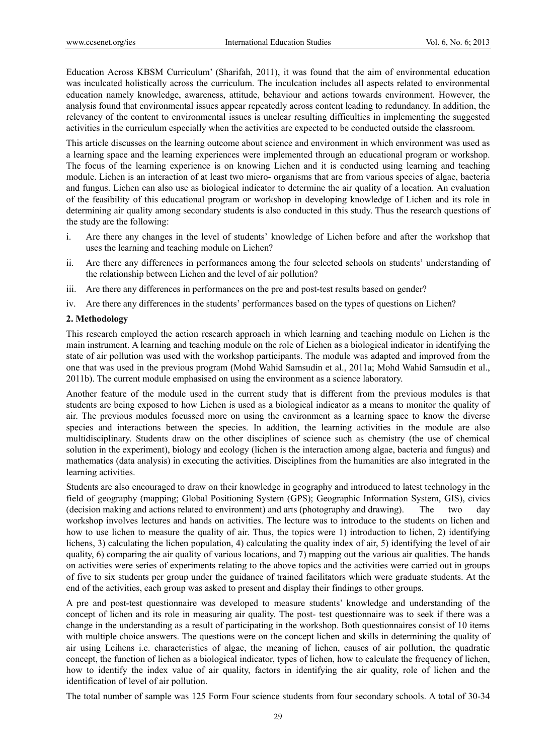Education Across KBSM Curriculum' (Sharifah, 2011), it was found that the aim of environmental education was inculcated holistically across the curriculum. The inculcation includes all aspects related to environmental education namely knowledge, awareness, attitude, behaviour and actions towards environment. However, the analysis found that environmental issues appear repeatedly across content leading to redundancy. In addition, the relevancy of the content to environmental issues is unclear resulting difficulties in implementing the suggested activities in the curriculum especially when the activities are expected to be conducted outside the classroom.

This article discusses on the learning outcome about science and environment in which environment was used as a learning space and the learning experiences were implemented through an educational program or workshop. The focus of the learning experience is on knowing Lichen and it is conducted using learning and teaching module. Lichen is an interaction of at least two micro- organisms that are from various species of algae, bacteria and fungus. Lichen can also use as biological indicator to determine the air quality of a location. An evaluation of the feasibility of this educational program or workshop in developing knowledge of Lichen and its role in determining air quality among secondary students is also conducted in this study. Thus the research questions of the study are the following:

- i. Are there any changes in the level of students' knowledge of Lichen before and after the workshop that uses the learning and teaching module on Lichen?
- ii. Are there any differences in performances among the four selected schools on students' understanding of the relationship between Lichen and the level of air pollution?
- iii. Are there any differences in performances on the pre and post-test results based on gender?
- iv. Are there any differences in the students' performances based on the types of questions on Lichen?

#### **2. Methodology**

This research employed the action research approach in which learning and teaching module on Lichen is the main instrument. A learning and teaching module on the role of Lichen as a biological indicator in identifying the state of air pollution was used with the workshop participants. The module was adapted and improved from the one that was used in the previous program (Mohd Wahid Samsudin et al., 2011a; Mohd Wahid Samsudin et al., 2011b). The current module emphasised on using the environment as a science laboratory.

Another feature of the module used in the current study that is different from the previous modules is that students are being exposed to how Lichen is used as a biological indicator as a means to monitor the quality of air. The previous modules focussed more on using the environment as a learning space to know the diverse species and interactions between the species. In addition, the learning activities in the module are also multidisciplinary. Students draw on the other disciplines of science such as chemistry (the use of chemical solution in the experiment), biology and ecology (lichen is the interaction among algae, bacteria and fungus) and mathematics (data analysis) in executing the activities. Disciplines from the humanities are also integrated in the learning activities.

Students are also encouraged to draw on their knowledge in geography and introduced to latest technology in the field of geography (mapping; Global Positioning System (GPS); Geographic Information System, GIS), civics (decision making and actions related to environment) and arts (photography and drawing). The two day workshop involves lectures and hands on activities. The lecture was to introduce to the students on lichen and how to use lichen to measure the quality of air. Thus, the topics were 1) introduction to lichen, 2) identifying lichens, 3) calculating the lichen population, 4) calculating the quality index of air, 5) identifying the level of air quality, 6) comparing the air quality of various locations, and 7) mapping out the various air qualities. The hands on activities were series of experiments relating to the above topics and the activities were carried out in groups of five to six students per group under the guidance of trained facilitators which were graduate students. At the end of the activities, each group was asked to present and display their findings to other groups.

A pre and post-test questionnaire was developed to measure students' knowledge and understanding of the concept of lichen and its role in measuring air quality. The post- test questionnaire was to seek if there was a change in the understanding as a result of participating in the workshop. Both questionnaires consist of 10 items with multiple choice answers. The questions were on the concept lichen and skills in determining the quality of air using Lcihens i.e. characteristics of algae, the meaning of lichen, causes of air pollution, the quadratic concept, the function of lichen as a biological indicator, types of lichen, how to calculate the frequency of lichen, how to identify the index value of air quality, factors in identifying the air quality, role of lichen and the identification of level of air pollution.

The total number of sample was 125 Form Four science students from four secondary schools. A total of 30-34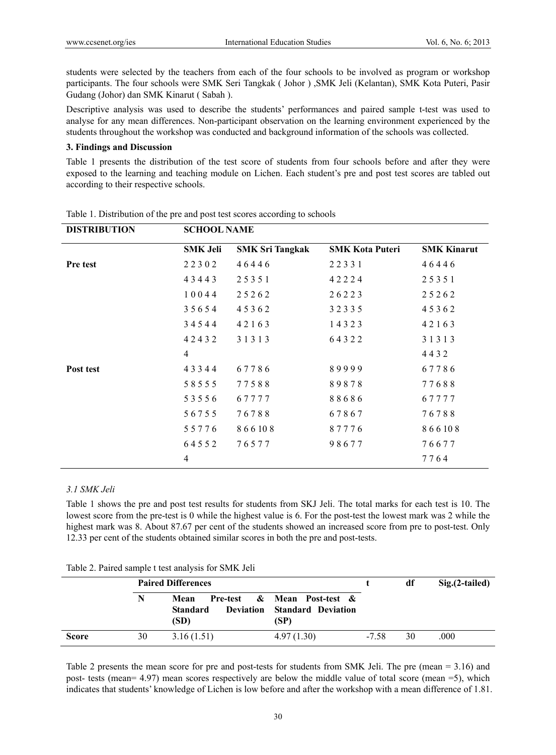students were selected by the teachers from each of the four schools to be involved as program or workshop participants. The four schools were SMK Seri Tangkak ( Johor ) ,SMK Jeli (Kelantan), SMK Kota Puteri, Pasir Gudang (Johor) dan SMK Kinarut ( Sabah ).

Descriptive analysis was used to describe the students' performances and paired sample t-test was used to analyse for any mean differences. Non-participant observation on the learning environment experienced by the students throughout the workshop was conducted and background information of the schools was collected.

## **3. Findings and Discussion**

Table 1 presents the distribution of the test score of students from four schools before and after they were exposed to the learning and teaching module on Lichen. Each student's pre and post test scores are tabled out according to their respective schools.

| <b>DISTRIBUTION</b> | <b>SCHOOL NAME</b> |                        |                        |                    |
|---------------------|--------------------|------------------------|------------------------|--------------------|
|                     | <b>SMK Jeli</b>    | <b>SMK Sri Tangkak</b> | <b>SMK Kota Puteri</b> | <b>SMK Kinarut</b> |
| <b>Pre test</b>     | 22302              | 46446                  | 22331                  | 46446              |
|                     | 43443              | 25351                  | 42224                  | 25351              |
|                     | 10044              | 25262                  | 26223                  | 25262              |
|                     | 35654              | 45362                  | 32335                  | 45362              |
|                     | 34544              | 42163                  | 14323                  | 42163              |
|                     | 42432              | 3 1 3 1 3              | 64322                  | 31313              |
|                     | $\overline{4}$     |                        |                        | 4432               |
| Post test           | 43344              | 67786                  | 89999                  | 67786              |
|                     | 58555              | 77588                  | 89878                  | 77688              |
|                     | 53556              | 67777                  | 88686                  | 67777              |
|                     | 56755              | 76788                  | 67867                  | 76788              |
|                     | 55776              | 866108                 | 87776                  | 866108             |
|                     | 64552              | 76577                  | 98677                  | 76677              |
|                     | 4                  |                        |                        | 7764               |

Table 1. Distribution of the pre and post test scores according to schools

## *3.1 SMK Jeli*

Table 1 shows the pre and post test results for students from SKJ Jeli. The total marks for each test is 10. The lowest score from the pre-test is 0 while the highest value is 6. For the post-test the lowest mark was 2 while the highest mark was 8. About 87.67 per cent of the students showed an increased score from pre to post-test. Only 12.33 per cent of the students obtained similar scores in both the pre and post-tests.

|              |    | <b>Paired Differences</b>                           |                                                                  |         | df | $Sig.(2-tailed)$ |
|--------------|----|-----------------------------------------------------|------------------------------------------------------------------|---------|----|------------------|
|              | N  | Mean<br><b>Deviation</b><br><b>Standard</b><br>(SD) | Pre-test & Mean Post-test &<br><b>Standard Deviation</b><br>(SP) |         |    |                  |
| <b>Score</b> | 30 | 3.16(1.51)                                          | 4.97(1.30)                                                       | $-7.58$ | 30 | .000             |

Table 2 presents the mean score for pre and post-tests for students from SMK Jeli. The pre (mean = 3.16) and post- tests (mean= 4.97) mean scores respectively are below the middle value of total score (mean =5), which indicates that students' knowledge of Lichen is low before and after the workshop with a mean difference of 1.81.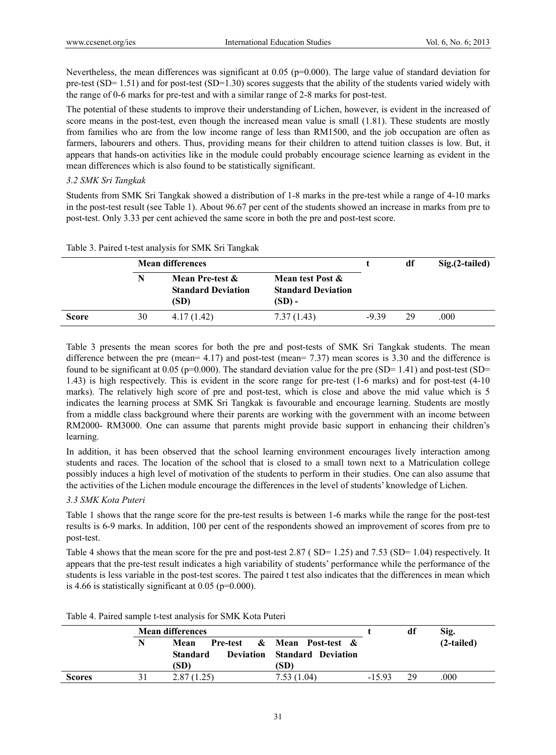Nevertheless, the mean differences was significant at 0.05 (p=0.000). The large value of standard deviation for pre-test (SD= 1.51) and for post-test (SD=1.30) scores suggests that the ability of the students varied widely with the range of 0-6 marks for pre-test and with a similar range of 2-8 marks for post-test.

The potential of these students to improve their understanding of Lichen, however, is evident in the increased of score means in the post-test, even though the increased mean value is small (1.81). These students are mostly from families who are from the low income range of less than RM1500, and the job occupation are often as farmers, labourers and others. Thus, providing means for their children to attend tuition classes is low. But, it appears that hands-on activities like in the module could probably encourage science learning as evident in the mean differences which is also found to be statistically significant.

### *3.2 SMK Sri Tangkak*

Students from SMK Sri Tangkak showed a distribution of 1-8 marks in the pre-test while a range of 4-10 marks in the post-test result (see Table 1). About 96.67 per cent of the students showed an increase in marks from pre to post-test. Only 3.33 per cent achieved the same score in both the pre and post-test score.

|              |    | <b>Mean differences</b>                              |                                                         |       | df | Sig. (2-tailed) |
|--------------|----|------------------------------------------------------|---------------------------------------------------------|-------|----|-----------------|
|              |    | Mean Pre-test &<br><b>Standard Deviation</b><br>(SD) | Mean test Post &<br><b>Standard Deviation</b><br>(SD) - |       |    |                 |
| <b>Score</b> | 30 | 4.17(1.42)                                           | 7.37(1.43)                                              | -9.39 | 29 | .000            |

Table 3. Paired t-test analysis for SMK Sri Tangkak

Table 3 presents the mean scores for both the pre and post-tests of SMK Sri Tangkak students. The mean difference between the pre (mean= 4.17) and post-test (mean= 7.37) mean scores is 3.30 and the difference is found to be significant at 0.05 (p=0.000). The standard deviation value for the pre (SD= 1.41) and post-test (SD= 1.43) is high respectively. This is evident in the score range for pre-test (1-6 marks) and for post-test (4-10 marks). The relatively high score of pre and post-test, which is close and above the mid value which is 5 indicates the learning process at SMK Sri Tangkak is favourable and encourage learning. Students are mostly from a middle class background where their parents are working with the government with an income between RM2000- RM3000. One can assume that parents might provide basic support in enhancing their children's learning.

In addition, it has been observed that the school learning environment encourages lively interaction among students and races. The location of the school that is closed to a small town next to a Matriculation college possibly induces a high level of motivation of the students to perform in their studies. One can also assume that the activities of the Lichen module encourage the differences in the level of students' knowledge of Lichen.

### *3.3 SMK Kota Puteri*

Table 1 shows that the range score for the pre-test results is between 1-6 marks while the range for the post-test results is 6-9 marks. In addition, 100 per cent of the respondents showed an improvement of scores from pre to post-test.

Table 4 shows that the mean score for the pre and post-test 2.87 (SD= 1.25) and 7.53 (SD= 1.04) respectively. It appears that the pre-test result indicates a high variability of students' performance while the performance of the students is less variable in the post-test scores. The paired t test also indicates that the differences in mean which is 4.66 is statistically significant at  $0.05$  (p=0.000).

|               | <b>Mean differences</b> |                                             |                                                                   |        | df | Sig.         |
|---------------|-------------------------|---------------------------------------------|-------------------------------------------------------------------|--------|----|--------------|
|               | N                       | Mean<br>Pre-test<br><b>Standard</b><br>(SD) | & Mean Post-test &<br><b>Deviation</b> Standard Deviation<br>(SD) |        |    | $(2-tailed)$ |
| <b>Scores</b> |                         | 2.87 (1.25)                                 | 7.53(1.04)                                                        | -15.93 | 29 | .000         |

Table 4. Paired sample t-test analysis for SMK Kota Puteri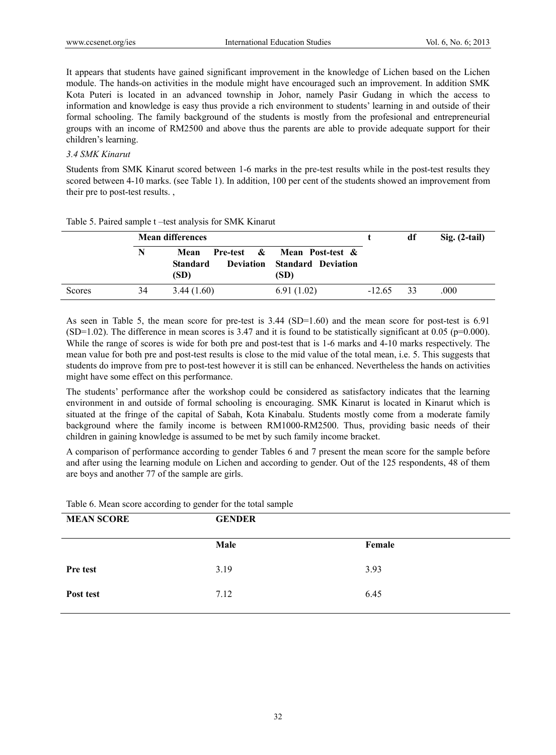It appears that students have gained significant improvement in the knowledge of Lichen based on the Lichen module. The hands-on activities in the module might have encouraged such an improvement. In addition SMK Kota Puteri is located in an advanced township in Johor, namely Pasir Gudang in which the access to information and knowledge is easy thus provide a rich environment to students' learning in and outside of their formal schooling. The family background of the students is mostly from the profesional and entrepreneurial groups with an income of RM2500 and above thus the parents are able to provide adequate support for their children's learning.

## *3.4 SMK Kinarut*

Students from SMK Kinarut scored between 1-6 marks in the pre-test results while in the post-test results they scored between 4-10 marks. (see Table 1). In addition, 100 per cent of the students showed an improvement from their pre to post-test results. ,

|        | <b>Mean differences</b> |                                 |                                                                                           |             | df | $Sig. (2-tail)$ |
|--------|-------------------------|---------------------------------|-------------------------------------------------------------------------------------------|-------------|----|-----------------|
|        | N                       | Mean<br><b>Standard</b><br>(SD) | <b>Pre-test &amp; Mean Post-test &amp;</b><br><b>Deviation</b> Standard Deviation<br>(SD) |             |    |                 |
| Scores | 34                      | 3.44(1.60)                      | 6.91(1.02)                                                                                | $-12.65$ 33 |    | .000            |

Table 5. Paired sample t –test analysis for SMK Kinarut

As seen in Table 5, the mean score for pre-test is 3.44 (SD=1.60) and the mean score for post-test is 6.91  $(SD=1.02)$ . The difference in mean scores is 3.47 and it is found to be statistically significant at 0.05 (p=0.000). While the range of scores is wide for both pre and post-test that is 1-6 marks and 4-10 marks respectively. The mean value for both pre and post-test results is close to the mid value of the total mean, i.e. 5. This suggests that students do improve from pre to post-test however it is still can be enhanced. Nevertheless the hands on activities might have some effect on this performance.

The students' performance after the workshop could be considered as satisfactory indicates that the learning environment in and outside of formal schooling is encouraging. SMK Kinarut is located in Kinarut which is situated at the fringe of the capital of Sabah, Kota Kinabalu. Students mostly come from a moderate family background where the family income is between RM1000-RM2500. Thus, providing basic needs of their children in gaining knowledge is assumed to be met by such family income bracket.

A comparison of performance according to gender Tables 6 and 7 present the mean score for the sample before and after using the learning module on Lichen and according to gender. Out of the 125 respondents, 48 of them are boys and another 77 of the sample are girls.

| <b>MEAN SCORE</b> | <b>GENDER</b> |        |
|-------------------|---------------|--------|
|                   | Male          | Female |
| Pre test          | 3.19          | 3.93   |
| Post test         | 7.12          | 6.45   |

Table 6. Mean score according to gender for the total sample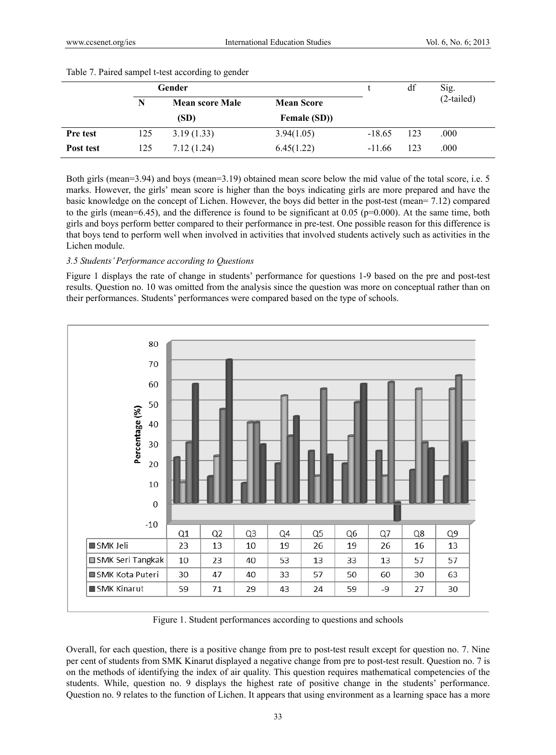| Gender    |     |                        |                    | df       | Sig. |              |
|-----------|-----|------------------------|--------------------|----------|------|--------------|
|           | N   | <b>Mean score Male</b> | <b>Mean Score</b>  |          |      | $(2-tailed)$ |
|           |     | (SD)                   | <b>Female (SD)</b> |          |      |              |
| Pre test  | 125 | 3.19(1.33)             | 3.94(1.05)         | $-18.65$ | 123  | .000         |
| Post test | 125 | 7.12(1.24)             | 6.45(1.22)         | $-11.66$ | 123  | .000         |

#### Table 7. Paired sampel t-test according to gender

Both girls (mean=3.94) and boys (mean=3.19) obtained mean score below the mid value of the total score, i.e. 5 marks. However, the girls' mean score is higher than the boys indicating girls are more prepared and have the basic knowledge on the concept of Lichen. However, the boys did better in the post-test (mean= 7.12) compared to the girls (mean=6.45), and the difference is found to be significant at 0.05 ( $p=0.000$ ). At the same time, both girls and boys perform better compared to their performance in pre-test. One possible reason for this difference is that boys tend to perform well when involved in activities that involved students actively such as activities in the Lichen module.

# *3.5 Students' Performance according to Questions*

Figure 1 displays the rate of change in students' performance for questions 1-9 based on the pre and post-test results. Question no. 10 was omitted from the analysis since the question was more on conceptual rather than on their performances. Students' performances were compared based on the type of schools.



Figure 1. Student performances according to questions and schools

Overall, for each question, there is a positive change from pre to post-test result except for question no. 7. Nine per cent of students from SMK Kinarut displayed a negative change from pre to post-test result. Question no. 7 is on the methods of identifying the index of air quality. This question requires mathematical competencies of the students. While, question no. 9 displays the highest rate of positive change in the students' performance. Question no. 9 relates to the function of Lichen. It appears that using environment as a learning space has a more